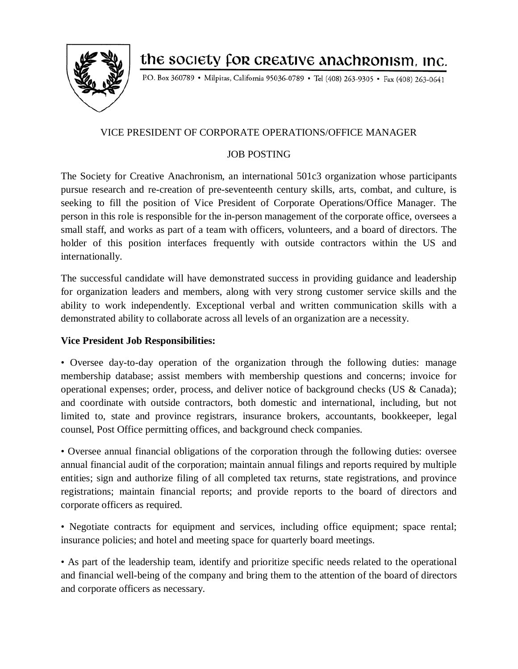

the society for creative anachronism, inc.

P.O. Box 360789 · Milpitas, California 95036-0789 · Tel (408) 263-9305 · Fax (408) 263-0641

## VICE PRESIDENT OF CORPORATE OPERATIONS/OFFICE MANAGER

## JOB POSTING

The Society for Creative Anachronism, an international 501c3 organization whose participants pursue research and re-creation of pre-seventeenth century skills, arts, combat, and culture, is seeking to fill the position of Vice President of Corporate Operations/Office Manager. The person in this role is responsible for the in-person management of the corporate office, oversees a small staff, and works as part of a team with officers, volunteers, and a board of directors. The holder of this position interfaces frequently with outside contractors within the US and internationally.

The successful candidate will have demonstrated success in providing guidance and leadership for organization leaders and members, along with very strong customer service skills and the ability to work independently. Exceptional verbal and written communication skills with a demonstrated ability to collaborate across all levels of an organization are a necessity.

## **Vice President Job Responsibilities:**

• Oversee day-to-day operation of the organization through the following duties: manage membership database; assist members with membership questions and concerns; invoice for operational expenses; order, process, and deliver notice of background checks (US & Canada); and coordinate with outside contractors, both domestic and international, including, but not limited to, state and province registrars, insurance brokers, accountants, bookkeeper, legal counsel, Post Office permitting offices, and background check companies.

• Oversee annual financial obligations of the corporation through the following duties: oversee annual financial audit of the corporation; maintain annual filings and reports required by multiple entities; sign and authorize filing of all completed tax returns, state registrations, and province registrations; maintain financial reports; and provide reports to the board of directors and corporate officers as required.

• Negotiate contracts for equipment and services, including office equipment; space rental; insurance policies; and hotel and meeting space for quarterly board meetings.

• As part of the leadership team, identify and prioritize specific needs related to the operational and financial well-being of the company and bring them to the attention of the board of directors and corporate officers as necessary.